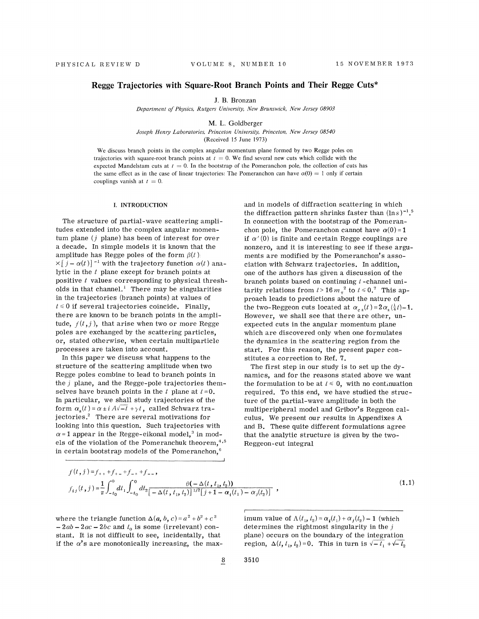# **Regge Trajectories with Square-Root Branch Points and Their Regge Cuts\***

J. B. Bronzan

*Department of Physics, Rutgers University, New Brunswick, New Jersey 08903* 

M. L. Goldberger

*Joseph Henry Laboratories, Princeton University, Princeton, New Jersey 08540*  (Received 15 June 1973)

We discuss branch points in the complex angular momentum plane formed by two Regge poles on trajectories with square-root branch points at  $t = 0$ . We find several new cuts which collide with the expected Mandelstam cuts at  $t = 0$ . In the bootstrap of the Pomeranchon pole, the collection of cuts has the same effect as in the case of linear trajectories: The Pomeranchon can have  $\alpha(0) = 1$  only if certain couplings vanish at  $t = 0$ .

#### I. INTRODUCTION

The structure of partial-wave scattering amplitudes extended into the complex angular momentum plane  $(j$  plane) has been of interest for over a decade. In simple models it is known that the amplitude has Regge poles of the form  $\beta(t)$  $\times$   $[j - \alpha(t)]$ <sup>-1</sup> with the trajectory function  $\alpha(t)$  analytic in the *t* plane except for branch points at positive  $t$  values corresponding to physical thresholds in that channel.<sup>1</sup> There may be singularities in the trajectories (branch points) at values of  $t \leq 0$  if several trajectories coincide. Finally, there are known to be branch points in the amplitude,  $f(t, j)$ , that arise when two or more Regge poles are exchanged by the scattering particles, or, stated otherwise, when certain multiparticle processes are taken into account.

In this paper we discuss what happens to the structure of the scattering amplitude when two Regge poles combine to lead to branch points in the  $j$  plane, and the Regge-pole trajectories themselves have branch points in the  $t$  plane at  $t = 0$ . In particular, we shall study trajectories of the form  $\alpha_{+}(t) = \alpha \pm i A \sqrt{-t} + \gamma t$ , called Schwarz trajectories.<sup>2</sup> There are several motivations for looking into this question. Such trajectories with  $\alpha$ =1 appear in the Regge-eikonal model,<sup>3</sup> in models of the violation of the Pomeranchuk theorem,<sup>4,5</sup> in certain bootstrap models of the Pomeranchon,<sup>6</sup>

and in models of diffraction scattering in which the diffraction pattern shrinks faster than  $(\ln s)^{-1}$ .<sup>5</sup> In connection with the bootstrap of the Pomeranchon pole, the Pomeranchon cannot have  $\alpha(0) = 1$ if  $\alpha'(0)$  is finite and certain Regge couplings are nonzero, and it is interesting to see if these arguments are modified by the Pomeranchon's association with Schwarz trajectories. In addition, one of the authors has given a discussion of the branch points based on continuing *t* -channel unitarity relations from  $t > 16 m<sub>\pi</sub><sup>2</sup>$  to  $t \le 0$ .<sup>7</sup> This approach leads to predictions about the nature of the two-Reggeon cuts located at  $\alpha_{c+}(t)=2\alpha_{+}(\frac{1}{4}t)-1$ . However, we shall see that there are other, unexpected cuts in the angular momentum plane which are discovered only when one formulates the dynamics in the scattering region from the start. For this reason, the present paper constitutes a correction to Ref. 7.

The first step in our study is to set up the dynamics, and for the reasons stated above we want the formulation to be at  $t \leq 0$ , with no continuation required. To this end, we have studied the structure of the partial-wave amplitude in both the multiperipheral model and Gribov's Reggeon calculus. We present our results in Appendixes A and B. These quite different formulations agree that the analytic structure is given by the two-Reggeon-cut integral

$$
f(t, j) = f_{++} + f_{+-} + f_{-+} + f_{--},
$$
  
\n
$$
f_{ij}(t, j) = \frac{1}{\pi} \int_{-t_0}^{0} dt_1 \int_{-t_0}^{0} dt_2 \frac{\theta(-\Delta(t, t_1, t_2))}{[-\Delta(t, t_1, t_2)]^{1/2} [j + 1 - \alpha_i(t_1) - \alpha_j(t_2)]},
$$
\n(1.1)

where the triangle function  $\Delta(a, b, c) = a^2 + b^2 + c^2$  $- 2ab - 2ac - 2bc$  and  $t_0$  is some (irrelevant) constant. It is not difficult to see, incidentally, that if the  $\alpha$ 's are monotonically increasing, the max-

imum value of  $\Lambda(t_1, t_2) = \alpha_i(t_1) + \alpha_j(t_2) - 1$  (which determines the rightmost singularity in the  $j$ plane) occurs on the boundary of the integration region,  $\Delta(t, t_1, t_2) = 0$ . This in turn is  $\sqrt{-t_1} + \sqrt{-t_2}$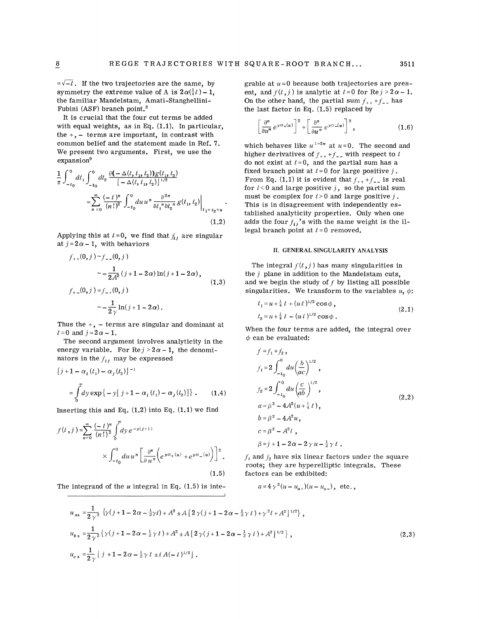$=\sqrt{-t}$ . If the two trajectories are the same, by symmetry the extreme value of  $\Lambda$  is  $2\alpha(\frac{1}{4}t) - 1$ , the familiar Mandelstam, Amati-Stanghellini-Fubini (ASF) branch point. 8

It is crucial that the four cut terms be added with equal weights, as in Eq. **(1.1).** In particular, the  $+$ ,  $-$  terms are important, in contrast with common belief and the statement made in Ref. 7. We present two arguments. First, we use the expansion<sup>9</sup>

$$
\frac{1}{\pi} \int_{-t_0}^{0} dt_1 \int_{-t_0}^{0} dt_2 \frac{\theta(-\Delta(t, t_1, t_2))g(t_1, t_2)}{[-\Delta(t, t_1, t_2)]^{1/2}}\n= \sum_{n=0}^{\infty} \frac{(-t)^n}{(n!)^2} \int_{-t_0}^{0} du \, u^n \frac{\partial^{2n}}{\partial t_1^n \partial t_2^n} g(t_1, t_2)\Big|_{t_1 = t_2 = u}.
$$
\n(1.2)

Applying this at  $t = 0$ , we find that  $f_{ij}$  are singular at  $j = 2\alpha - 1$ , with behaviors

$$
f_{++}(0,j) \sim f_{--}(0,j)
$$
  

$$
\sim -\frac{1}{2A^2} (j+1-2\alpha) \ln(j+1-2\alpha),
$$
  

$$
f_{+-}(0,j) = f_{-+}(0,j)
$$
  

$$
\sim -\frac{1}{2\gamma} \ln(j+1-2\alpha).
$$
 (1.3)

Thus the  $+$ ,  $-$  terms are singular and dominant at  $t=0$  and  $j=2\alpha-1$ .

The second argument involves analyticity in the energy variable. For  $\text{Re } j > 2\alpha - 1$ , the denominators in the  $f_{ij}$  may be expressed

$$
[j+1-\alpha_i(t_1)-\alpha_j(t_2)]^{-1}
$$
  
=  $\int_0^{\infty} dy \exp\{-y[j+1-\alpha_i(t_1)-\alpha_j(t_2)]\}$ . (1.4)

Inserting this and Eq.  $(1.2)$  into Eq.  $(1.1)$  we find

$$
f(t,j) = \sum_{n=0}^{\infty} \frac{(-t)^n}{(n!)^2} \int_0^{\infty} dy \, e^{-y(j+1)} \times \int_{-t_0}^0 du \, u^n \left[ \frac{\partial^n}{\partial u^n} \left( e^{y\alpha_+(u)} + e^{y\alpha_-(u)} \right) \right]^2.
$$
\n(1.5)

The integrand of the  $u$  integral in Eq.  $(1.5)$  is inte-

grable at  $u=0$  because both trajectories are present, and  $f(t, j)$  is analytic at  $t = 0$  for  $Re j > 2\alpha - 1$ . On the other hand, the partial sum  $f_{++} + f_{--}$  has the last factor in Eq. (1.5) replaced by

$$
\left[\frac{\partial^n}{\partial u^n} e^{y\alpha_+(u)}\right]^2 + \left[\frac{\partial^n}{\partial u^n} e^{y\alpha_-(u)}\right]^2, \qquad (1.6)
$$

which behaves like  $u^{1-2n}$  at  $u=0$ . The second and higher derivatives of  $f_{++} + f_{--}$  with respect to *t* do not exist at  $t = 0$ , and the partial sum has a fixed branch point at  $t = 0$  for large positive  $j$ . From Eq. (1.1) it is evident that  $f_{++}+f_{--}$  is real for  $t < 0$  and large positive j, so the partial sum must be complex for  $t > 0$  and large positive  $j$ . This is in disagreement with independently established analyticity properties. Only when one adds the four  $f_{ij}$ 's with the same weight is the illegal branch point at *t* = 0 removed.

### II. GENERAL SINGULARITY ANALYSIS

The integral  $f(t, j)$  has many singularities in the  $j$  plane in addition to the Mandelstam cuts, and we begin the study of  $f$  by listing all possible singularities. We transform to the variables  $u, \phi$ :

$$
t_1 = u + \frac{1}{4} t + (ut)^{1/2} \cos \phi ,
$$
  
\n
$$
t_2 = u + \frac{1}{4} t - (ut)^{1/2} \cos \phi .
$$
\n(2.1)

When the four terms are added, the integral over  $\phi$  can be evaluated:

$$
f = f_1 + f_2,
$$
  
\n
$$
f_1 = 2 \int_{-t_0}^{0} du \left(\frac{b}{ac}\right)^{1/2},
$$
  
\n
$$
f_2 = 2 \int_{-t_0}^{0} du \left(\frac{c}{ab}\right)^{1/2},
$$
  
\n
$$
a = \beta^2 - 4A^2(u + \frac{1}{4}t),
$$
  
\n
$$
b = \beta^2 - 4A^2u,
$$
  
\n
$$
c = \beta^2 - A^2t,
$$
  
\n
$$
\beta = j + 1 - 2\alpha - 2\gamma u - \frac{1}{2}\gamma t.
$$
\n(2.2)

 $f_1$  and  $f_2$  have six linear factors under the square roots; they are hyperelliptic integrals. These factors can be exhibited:

$$
a=4\gamma^2(u-u_{a+})(u-u_{a-})
$$
, etc.

$$
u_{a\pm} = \frac{1}{2\gamma^2} \left\{ \gamma(j+1-2\alpha-\frac{1}{2}\gamma t) + A^2 \pm A \left[ 2\gamma(j+1-2\alpha-\frac{1}{2}\gamma t) + \gamma^2 t + A^2 \right]^{1/2} \right\},
$$
  
\n
$$
u_{b\pm} = \frac{1}{2\gamma^2} \left\{ \gamma(j+1-2\alpha-\frac{1}{2}\gamma t) + A^2 \pm A \left[ 2\gamma(j+1-2\alpha-\frac{1}{2}\gamma t) + A^2 \right]^{1/2} \right\},
$$
  
\n
$$
u_{c\pm} = \frac{1}{2\gamma} \left[ j+1-2\alpha-\frac{1}{2}\gamma t \pm i A(-t)^{1/2} \right].
$$
\n(2.3)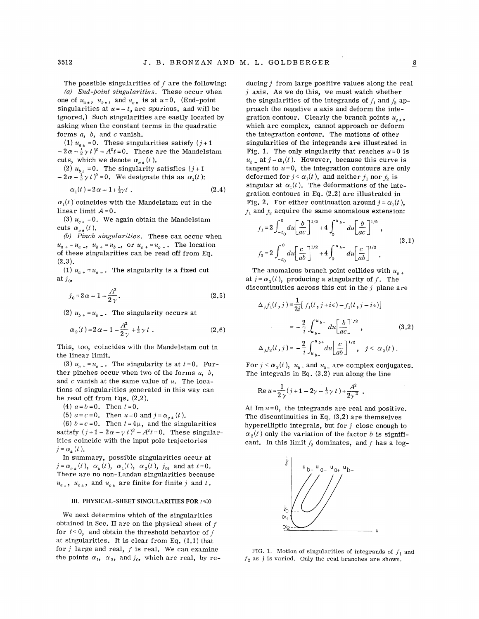The possible singularities of  $f$  are the following: *(a) End-point singularities.* These occur when

one of  $u_{a_{\pm}}, u_{b_{\pm}},$  and  $u_{c_{\pm}}$  is at  $u=0$ . (End-point singularities at  $u = -t_0$  are spurious, and will be ignored.) Such singularities are easily located by asking when the constant terms in the quadratic forms *a,* b, and *c* vanish.

(1)  $u_{a_{\pm}} = 0$ . These singularities satisfy  $(j+1)$  $- 2\alpha - \frac{1}{2}\gamma t$ <sup>2</sup> -  $A^2t = 0$ . These are the Mandelstam cuts, which we denote  $\alpha_{c}$ <sub> $\neq$ </sub> (*t*).

(2)  $u_{h+} = 0$ . The singularity satisfies  $(j+1)$  $-2\alpha-\frac{1}{2}\gamma t$ <sup>2</sup> = 0. We designate this as  $\alpha_1(t)$ :

$$
\alpha_1(t) = 2\alpha - 1 + \frac{1}{2}\gamma t \tag{2.4}
$$

 $\alpha_{1}(t)$  coincides with the Mandelstam cut in the linear limit  $A=0$ .

(3)  $u_{c}$  = 0. We again obtain the Mandelstam cuts  $\alpha_{c\,\star}(t)$ .

*(b) Pinch singularities.* These can occur when  $u_{a} = u_{a}$ ,  $u_{b} = u_{b}$ , or  $u_{c} = u_{c}$ . The location of these singularities can be read off from Eq.  $(2.3).$ 

(1)  $u_{a+} = u_{a-}$ . The singularity is a fixed cut at  $j_{0}$ ,

$$
j_0 = 2\alpha - 1 - \frac{A^2}{2\gamma}.
$$
 (2.5)

(2)  $u_{b+} = u_{b-}$ . The singularity occurs at

$$
\alpha_2(t) = 2\alpha - 1 - \frac{A^2}{2\gamma} + \frac{1}{2}\gamma t \tag{2.6}
$$

This, too, coincides with the Mandelstam cut in the linear limit.

(3)  $u_{c+} = u_{c-}$ . The singularity is at  $t = 0$ . Further pinches occur when two of the forms *a, b,*  and *c* vanish at the same value of *u.* The locations of singularities generated in this way can be read off from Eqs. (2.2).

(4)  $a=b=0$ . Then  $t=0$ .

(5)  $a = c = 0$ . Then  $u = 0$  and  $j = \alpha_{c} (t)$ .

(6)  $b=c=0$ . Then  $t=4\mu$ , and the singularities satisfy  $(j+1-2\alpha-\gamma t)^2-A^2t=0$ . These singularities coincide with the input pole trajectories  $j = \alpha_{\text{+}}(t)$ .

In summary, possible singularities occur at  $j = \alpha_{c} \cdot (t)$ ,  $\alpha_{\pm}(t)$ ,  $\alpha_1(t)$ ,  $\alpha_2(t)$ ,  $j_0$ , and at  $t = 0$ . There are no non-Landau singularities because  $u_{a}$ ,  $u_{b}$ , and  $u_{c}$  are finite for finite j and t.

#### III. PHYSICAL-SHEET SINGULARITIES FOR  $t \le 0$

We next determine which of the singularities obtained in Sec. II are on the physical sheet of  $f$ for  $t < 0$ , and obtain the threshold behavior of f at singularities. It is clear from Eq. (L1) that for  $j$  large and real,  $f$  is real. We can examine the points  $\alpha_1$ ,  $\alpha_2$ , and  $j_0$ , which are real, by re-

ducing  $j$  from large positive values along the real  $j$  axis. As we do this, we must watch whether the singularities of the integrands of  $f_1$  and  $f_2$  approach the negative *u* axis and·deform the integration contour. Clearly the branch points  $u_{c}$ , which are complex, cannot approach or deform the integration contour. The motions of other singularities of the integrands are illustrated in Fig. 1. The only singularity that reaches  $u=0$  is  $u_{b}$  at  $j = \alpha_1(t)$ . However, because this curve is tangent to  $u=0$ , the integration contours are only deformed for  $j < \alpha_1(t)$ , and neither  $f_1$  nor  $f_2$  is singular at  $\alpha_1(t)$ . The deformations of the integration contours in Eq. (2.2) are illustrated in Fig. 2. For either continuation around  $j = \alpha_1(t)$ ,  $f_1$  and  $f_2$  acquire the same anomalous extension:

$$
f_1 = 2 \int_{-t_0}^{0} du \left[ \frac{b}{ac} \right]^{1/2} + 4 \int_{0}^{u_b-} du \left[ \frac{b}{ac} \right]^{1/2},
$$
  

$$
f_2 = 2 \int_{-t_0}^{0} du \left[ \frac{c}{ab} \right]^{1/2} + 4 \int_{0}^{u_b-} du \left[ \frac{c}{ab} \right]^{1/2}.
$$
 (3.1)

The anomalous branch point collides with  $u_{h+}$ at  $j = \alpha_2(t)$ , producing a singularity of f. The discontinuities across this cut in the  $j$  plane are

$$
\Delta_{j} f_{1}(t, j) \equiv \frac{1}{2i} [f_{1}(t, j + i\epsilon) - f_{1}(t, j - i\epsilon)]
$$
  

$$
= -\frac{2}{i} \int_{u_{b-}}^{u_{b+}} du \left[ \frac{b}{ac} \right]^{1/2}, \qquad (3.2)
$$
  

$$
\Delta_{j} f_{2}(t, j) = -\frac{2}{i} \int_{u_{b-}}^{u_{b+}} du \left[ \frac{c}{ab} \right]^{1/2}, \quad j < \alpha_{2}(t).
$$

For  $j < \alpha_2(t)$ ,  $u_{b+}$  and  $u_{b-}$  are complex conjugates. The integrals in Eq.  $(3.2)$  run along the line

Re 
$$
u = \frac{1}{2\gamma} (j + 1 - 2\gamma - \frac{1}{2}\gamma t) + \frac{A^2}{2\gamma^2}
$$
.

At Im  $u=0$ , the integrands are real and positive. The discontinuities in Eq. (3.2) are themselves hyperelliptic integrals, but for  $j$  close enough to  $\alpha_2(t)$  only the variation of the factor b is significant. In this limit  $f_2$  dominates, and f has a log-



FIG. 1. Motion of singularities of integrands of  $f_1$  and  $f_2$  as j is varied. Only the real branches are shown.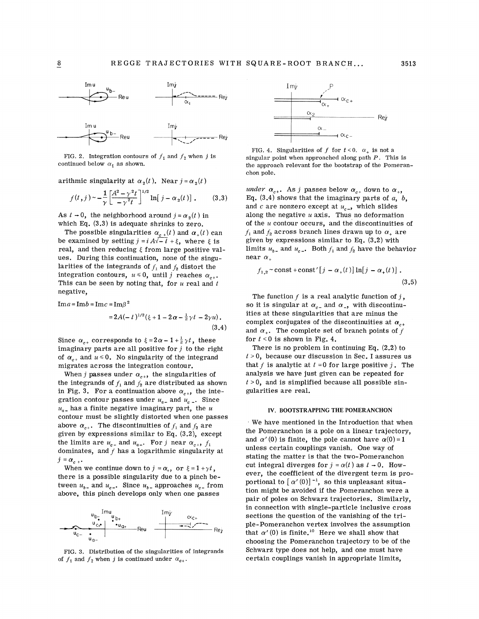

FIG. 2. Integration contours of  $f_1$  and  $f_2$  when j is continued below  $\alpha_1$  as shown.

arithmic singularity at  $\alpha_2(t)$ . Near  $j = \alpha_2(t)$ 

$$
f(t,j) \sim -\frac{1}{\gamma} \left[ \frac{A^2 - \gamma^2 t}{-\gamma^2 t} \right]^{1/2} \ln[j - \alpha_2(t)] . \tag{3.3}
$$

As  $t \to 0$ , the neighborhood around  $j = \alpha_s(t)$  in which Eq. (3.3) is adequate shrinks to zero.

The possible singularities  $\alpha_{c}$  (*t*) and  $\alpha_+(t)$  can be examined by setting  $j = i A\sqrt{-t} + \xi$ , where  $\xi$  is real, and then reducing  $\xi$  from large positive values. During this continuation, none of the singularities of the integrands of  $f_1$  and  $f_2$  distort the integration contours,  $u \le 0$ , until j reaches  $\alpha_{c+}$ . This can be seen by noting that, for *u* real and *t*  negative,

 $Im a = Im b = Im c = Im \beta^2$ 

$$
=2A(-t)^{1/2}(\xi+1-2\alpha-\frac{1}{2}\gamma t-2\gamma u).
$$
\n(3.4)

Since  $\alpha_{c+}$  corresponds to  $\xi = 2\alpha - 1 + \frac{1}{2}\gamma t$ , these imaginary parts are all positive for  $j$  to the right of  $\alpha_{c+}$  and  $u \le 0$ . No singularity of the integrand migrates across the integration contour.

When j passes under  $\alpha_{c+}$ , the singularities of the integrands of  $f_1$  and  $f_2$  are distributed as shown in Fig. 3. For a continuation above  $\alpha_{c+}$ , the integration contour passes under  $u_{a-}$  and  $u_{c-}$ . Since  $u_{a-}$  has a finite negative imaginary part, the *u* contour must be slightly distorted when one passes above  $\alpha_{c+}$ . The discontinuities of  $f_1$  and  $f_2$  are given by expressions similar to Eq. (3.2), except the limits are  $u_{c-}$  and  $u_{a-}$ . For j near  $\alpha_{c+}$ ,  $f_1$ dominates, and  $f$  has a logarithmic singularity at  $j = \alpha_{c +}$ 

When we continue down to  $j = \alpha_+$ , or  $\xi = 1 + \gamma t$ , there is a possible singularity due to a pinch between  $u_{b-}$  and  $u_{c-}$ . Since  $u_{b-}$  approaches  $u_{c-}$  from above, this pinch develops only when one passes



FIG. 3. Distribution of the singularities of integrands of  $f_1$  and  $f_2$  when j is continued under  $\alpha_{c+}$ .



FIG. 4. Singularities of f for  $t < 0$ .  $\alpha_+$  is not a singular point when approached along path  $P$ . This is the approach relevant for the bootstrap of the Pomeranchon pole.

under  $\alpha_{c+}$ . As j passes below  $\alpha_{c+}$  down to  $\alpha_{+}$ , Eq.  $(3.4)$  shows that the imaginary parts of  $a, b$ , and  $c$  are nonzero except at  $u_{c-}$ , which slides along the negative *u* axis. Thus no deformation of the *u* contour occurs, and the discontinuities of  $f_1$  and  $f_2$  across branch lines drawn up to  $\alpha_+$  are given by expressions similar to Eq. (3.2) with limits  $u_{b-}$  and  $u_{c-}$ . Both  $f_1$  and  $f_2$  have the behavior near  $\alpha$ .

$$
f_{1,2} \sim \text{const} + \text{const}'[j - \alpha_+(t)] \ln[j - \alpha_+(t)]. \tag{3.5}
$$

The function  $f$  is a real analytic function of  $j$ , so it is singular at  $\alpha_{c-}$  and  $\alpha_{-}$ , with discontinuities at these singularities that are minus the complex conjugates of the discontinuities at  $\alpha_{c+1}$ and  $\alpha_{+}$ . The complete set of branch points of f for  $t < 0$  is shown in Fig. 4.

There is no problem in continuing Eq.  $(2.2)$  to  $t > 0$ , because our discussion in Sec. I assures us that  $f$  is analytic at  $t = 0$  for large positive  $j$ . The analysis we have just given can be repeated for  $t > 0$ , and is simplified because all possible singularities are real.

## IV. BOOTSTRAPPING THE POMERANCHON

We have mentioned in the Introduction that when the Pomeranchon is a pole on a linear trajectory, and  $\alpha'(0)$  is finite, the pole cannot have  $\alpha(0) = 1$ unless certain couplings vanish, One way of stating the matter is that the two-Pomeranchon cut integral diverges for  $j = \alpha(t)$  as  $t \rightarrow 0$ . However, the coefficient of the divergent term is proportional to  $[\alpha'(0)]^{-1}$ , so this unpleasant situation might be avoided if the Pomeranchon were a pair of poles on Schwarz trajectories. Similarly, in connection with single-particle inclusive cross sections the question of the vanishing of the triple-Pomeranchon vertex involves the assumption that  $\alpha'(0)$  is finite.<sup>10</sup> Here we shall show that choosing the Pomeranchon trajectory to be of the Schwarz type does not help, and one must have certain couplings vanish in appropriate limits,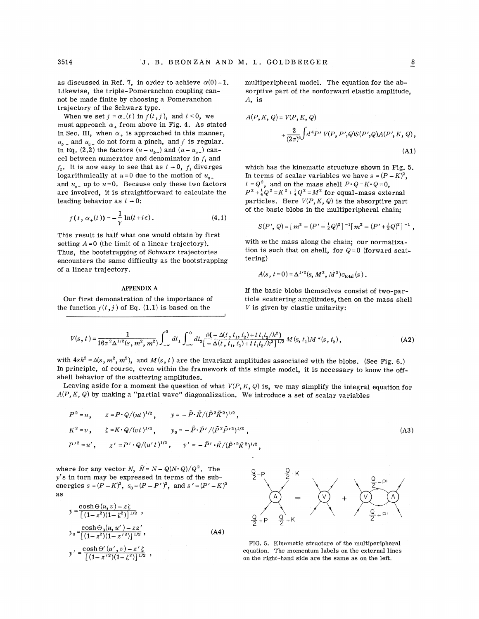as discussed in Ref. 7, in order to achieve  $\alpha(0) = 1$ . Likewise, the triple-Pomeranchon coupling cannot be made finite by choosing a Pomeranchon trajectory of the Schwarz type.

When we set  $j = \alpha_+(t)$  in  $f(t,j)$ , and  $t < 0$ , we must approach  $\alpha_+$  from above in Fig. 4. As stated in Sec. III, when  $\alpha_+$  is approached in this manner,  $u_{b}$  and  $u_{c}$  do not form a pinch, and f is regular. In Eq. (2.2) the factors  $(u - u_{b-})$  and  $(u - u_{c-})$  cancel between numerator and denominator in  $f_1$  and  $f_2$ . It is now easy to see that as  $t \rightarrow 0$ ,  $f_1$  diverges logarithmically at  $u=0$  due to the motion of  $u_{a-}$ and  $u_{n+}$  up to  $u = 0$ . Because only these two factors are involved, it is straightforward to calculate the leading behavior as  $t \rightarrow 0$ :

$$
f(t, \alpha_+(t)) \sim -\frac{1}{\gamma} \ln(t + i\epsilon).
$$
 (4.1)

This result is half what one would obtain by first setting  $A=0$  (the limit of a linear trajectory). Thus, the bootstrapping of Schwarz trajectories encounters the same difficulty as the bootstrapping of a linear trajectory.

## APPENDIX A

Our first demonstration of the importance of the function  $f(t, j)$  of Eq. (1.1) is based on the

multiperipheral model. The equation for the absorptive part of the nonforward elastic amplitude, A, is

$$
A(P, K, Q) = V(P, K, Q)
$$
  
+ 
$$
\frac{2}{(2\pi)^4} \int d^4 P' V(P, P', Q) S(P', Q) A(P', K, Q),
$$
  
(A1)

which has the kinematic structure shown in Fig. 5. In terms of scalar variables we have  $s = (P - K)^2$ ,  $t = Q^2$ , and on the mass shell  $P \cdot Q = K \cdot Q = 0$ ,  $P^2+\frac{1}{4}Q^2=K^2+\frac{1}{4}Q^2=M^2$  for equal-mass external particles. Here  $V(P, K, Q)$  is the absorptive part of the basic blobs in the multiperipheral chain;

$$
S(P', Q) = [m^2 - (P' - \frac{1}{2}Q)^2]^{-1} [m^2 - (P' + \frac{1}{2}Q)^2]^{-1},
$$

with *m* the mass along the chain; our normalization is such that on shell, for  $Q=0$  (forward scattering)

$$
A(s, t=0) = \Delta^{1/2}(s, M^2, M^2) \sigma_{\text{total}}(s) .
$$

If the basic blobs themselves consist of two-particle scattering amplitudes, then on the mass shell  $V$  is given by elastic unitarity:

$$
V(s, t) = \frac{1}{16\pi^2 \Delta^{1/2}(s, m^2, m^2)} \int_{-\infty}^0 dt_1 \int_{-\infty}^0 dt_2 \frac{\theta(-\Delta(t, t_1, t_2) + t_1 t_2 / k^2)}{[-\Delta(t, t_1, t_2) + t_1 t_2 / k^2]^{1/2}} M(s, t_1) M^*(s, t_2),
$$
\n(A2)

with  $4sk^2 = \Delta(s, m^2, m^2)$ , and  $M(s, t)$  are the invariant amplitudes associated with the blobs. (See Fig. 6.) In principle, of course, even within the framework of this simple model, it is necessary to know the offshell behavior of the scattering amplitudes.

Leaving aside for a moment the question of what  $V(P, K, Q)$  is, we may simplify the integral equation for  $A(P, K, Q)$  by making a "partial wave" diagonalization. We introduce a set of scalar variables

$$
P^{2} = u, \t z = P \cdot Q/(ut)^{1/2}, \t y = -\tilde{P} \cdot \tilde{K}/(\tilde{P}^{2} \tilde{K}^{2})^{1/2},
$$
  
\n
$$
K^{2} = v, \t \zeta = K \cdot Q/(vt)^{1/2}, \t y_{0} = -\tilde{P} \cdot \tilde{P}'/(\tilde{P}^{2} \tilde{P}'^{2})^{1/2},
$$
  
\n
$$
P'^{2} = u', \t z' = P' \cdot Q/(u't)^{1/2}, \t y' = -\tilde{P}' \cdot \tilde{K}/(\tilde{P}'^{2} \tilde{K}^{2})^{1/2},
$$
\n(A3)

where for any vector N,  $\tilde{N} = N - Q(N \cdot Q)/Q^2$ . The *y'* s in turn may be expressed in terms of the subenergies  $s = (P - K)^2$ ,  $s_0 = (P - P')^2$ , and  $s' = (P' - K)^2$ as

$$
y = \frac{\cosh \Theta(u, v) - z\zeta}{[(1 - z^2)(1 - \zeta^2)]^{1/2}},
$$
  
\n
$$
y_0 = \frac{\cosh \Theta_0(u, u') - zz'}{[(1 - z^2)(1 - z'^2)]^{1/2}},
$$
  
\n
$$
y' = \frac{\cosh \Theta'(u', v) - z'\zeta}{[(1 - z'^2)(1 - \zeta^2)]^{1/2}},
$$
\n(A4)



FIG. 5. Kinematic structure of the multiperipheral equation. The momentum labels on the external lines on the right-hand side are the same as on the left.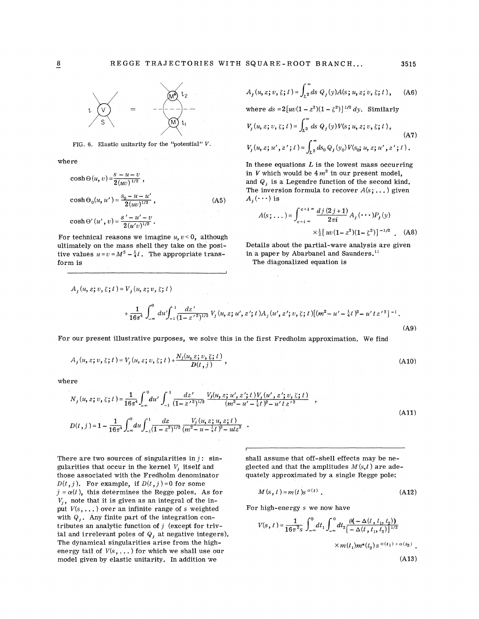

FIG. 6. Elastic unitarity for the "potential"  $V$ .

where

$$
\cosh \Theta(u, v) = \frac{s - u - v}{2(uv)^{1/2}},
$$
  
\n
$$
\cosh \Theta_0(u, u') = \frac{s_0 - u - u'}{2(uv)^{1/2}},
$$
  
\n
$$
\cosh \Theta'(u', v) = \frac{s' - u' - v}{2(u'v)^{1/2}}.
$$
\n(A5)

For technical reasons we imagine  $u, v < 0$ , although ultimately on the mass shell they take on the positive values  $u=v=M^2-\frac{1}{4}t$ . The appropriate transform is

$$
A_j(u, z; v, \zeta; t) = \int_{L^2}^{\infty} ds \ Q_j(y) A(s; u, z; v, \zeta; t), \quad \text{(A6)}
$$

where  $ds = 2[w(1-z^2)(1-\zeta^2)]^{1/2} dy$ . Similarly

$$
V_j(u, z; v, \xi; t) = \int_{L^2}^{\infty} ds \ Q_j(y) V(s; u, z; v, \xi; t),
$$
  
(A7)  

$$
V_j(u, z; u', z'; t) = \int_{L^2}^{\infty} ds_0 \ Q_j(y_0) V(s_0; u, z; u', z'; t).
$$

In these equations *L* is the lowest mass occurring in *V* which would be  $4m^2$  in our present model, and  $Q_i$ , is a Legendre function of the second kind. The inversion formula to recover *A(s;* ... ) given  $A_i(\cdots)$  is

$$
A(s;...)=\int_{c-i\infty}^{c+i\infty} \frac{dj(2j+1)}{2\pi i} A_j(\cdots) P_j(y)
$$

$$
\times \frac{1}{2} [w(1-z^2)(1-\zeta^2)]^{-1/2} . \quad (A8)
$$

Details about the partial-wave analysis are given in a paper by Abarbanel and Saunders.<sup>11</sup>

The diagonalized equation is

$$
A_j(u, z; v, \zeta; t) = V_j(u, z; v, \zeta; t)
$$
  
+ 
$$
\frac{1}{16\pi^4} \int_{-\infty}^0 du' \int_{-1}^1 \frac{dz'}{(1 - z')^{1/2}} V_j(u, z; u', z'; t) A_j(u', z'; v, \zeta; t) [(m^2 - u' - \frac{1}{4}t)^2 - u' t z'^2]^{-1}.
$$
  
(A9)

For our present illustrative purposes, we solve this in the first Fredholm approximation. We find

$$
A_j(u,z;v,\xi;t) = V_j(u,z;v,\xi;t) + \frac{N_j(u,z;v,\xi;t)}{D(t,j)},
$$
\n(A10)

where

$$
N_{j}(u, z; v, \xi; t) = \frac{1}{16\pi^{4}} \int_{-\infty}^{0} du' \int_{-1}^{1} \frac{dz'}{(1 - z'^{2})^{1/2}} \frac{V_{j}(u, z; u', z'; t)V_{j}(u', z'; v, \xi; t)}{(m^{2} - u' - \frac{1}{4}t)^{2} - u' t z'^{2}} ,
$$
  
\n
$$
D(t, j) = 1 - \frac{1}{16\pi^{4}} \int_{-\infty}^{0} du \int_{-1}^{1} \frac{dz}{(1 - z^{2})^{1/2}} \frac{V_{j}(u, z; u, z; t)}{(m^{2} - u - \frac{1}{4}t)^{2} - ut z^{2}} .
$$
\n(A11)

There are two sources of singularities in  $j$ : singularities that occur in the kernel  $V_i$  itself and those associated with the Fredholm denominator  $D(t, j)$ . For example, if  $D(t, j) = 0$  for some  $j = \alpha(t)$ , this determines the Regge poles. As for  $V_i$ , note that it is given as an integral of the input  $V(s, \ldots)$  over an infinite range of s weighted with  $Q_i$ . Any finite part of the integration contributes an analytic function of  $j$  (except for trivial and irrelevant poles of  $Q_i$ , at negative integers). The dynamical singularities arise from the highenergy tail of  $V(s, \ldots)$  for which we shall use our model given by elastic unitarity. In addition we

shall assume that off-shell effects may be neglected and that the amplitudes  $M(s,t)$  are adequately approximated by a single Regge pole:

$$
M(s, t) = m(t) s^{\alpha(t)}.
$$
 (A12)

For high-energy *s* we now have

$$
V(s, t) = \frac{1}{16\pi^2 s} \int_{-\infty}^{0} dt_1 \int_{-\infty}^{0} dt_2 \frac{\theta(-\Delta(t, t_1, t_2))}{[-\Delta(t, t_1, t_2)]^{1/2}} \times m(t_1) m^*(t_2) s^{\alpha(t_1) + \alpha(t_2)}.
$$
\n(A13)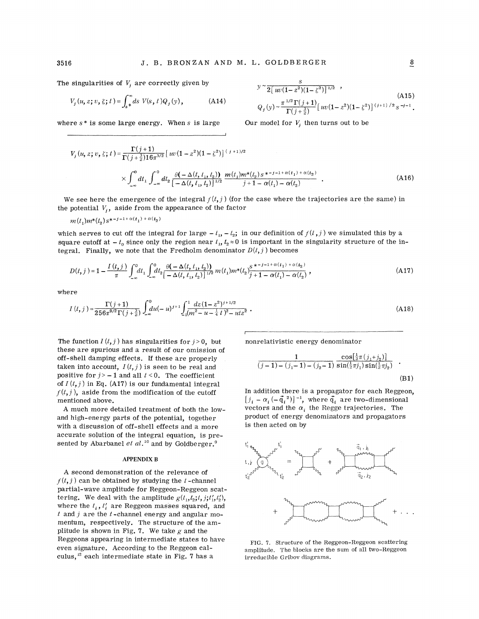$$
V_j(u, z; v, \zeta; t) = \int_s^{\infty} ds \ V(s, t) Q_j(y), \qquad (A14)
$$

where *s* \* is some large energy. When *s* is large

(A15)  $Q_j(y) \sim \frac{\pi^{1/2} \Gamma(j+1)}{\Gamma(j+\frac{3}{2})} \left[ w(1-z^2)(1-\zeta^2) \right]^{(j+1)/2} s^{-j-1}$ .

Our model for  $V_i$ , then turns out to be

*s*   $y \sim 2[uv(1-z^2)(1-\zeta^2)]^{1/2}$ ,

$$
V_j(u, z; v, \xi; t) = \frac{\Gamma(j+1)}{\Gamma(j+\frac{3}{2})16\pi^{3/2}} \left[ w(1-z^2)(1-\xi^2) \right]^{(j+1)/2}
$$
  
 
$$
\times \int_{-\infty}^0 dt_1 \int_{-\infty}^0 dt_2 \frac{\theta(-\Delta(t, t_1, t_2))}{\left[-\Delta(t, t_1, t_2)\right]^{1/2}} \frac{m(t_1)m^*(t_2) s^{z-j-1+\alpha(t_1)+\alpha(t_2)}}{j+1-\alpha(t_1)-\alpha(t_2)} .
$$
 (A16)

We see here the emergence of the integral  $f(t, j)$  (for the case where the trajectories are the same) in the potential  $V_i$ , aside from the appearance of the factor

$$
m(t_1)m^*(t_2)s^{*-j-1+\alpha(t_1)+\alpha(t_2)}
$$

which serves to cut off the integral for large  $-t_1$ ,  $-t_2$ ; in our definition of  $f(t, j)$  we simulated this by a square cutoff at  $-t_0$  since only the region near  $t_1, t_2 \approx 0$  is important in the singularity structure of the integral. Finally, we note that the Fredholm denominator  $D(t, j)$  becomes

$$
D(t, j) = 1 - \frac{I(t, j)}{\pi} \int_{-\infty}^{0} dt_1 \int_{-\infty}^{0} dt_2 \frac{\theta(-\Delta(t, t_1, t_2))}{[-\Delta(t, t_1, t_2)]^{1/2}} m(t_1) m^*(t_2) \frac{s^{*-j-1+\alpha(t_1)+\alpha(t_2)}}{j+1-\alpha(t_1)-\alpha(t_2)},
$$
\n(A17)

where

$$
I(t,j) = \frac{\Gamma(j+1)}{256\pi^{9/2}\Gamma(j+\frac{3}{2})} \int_{-\infty}^{0} du(-u)^{j+1} \int_{1}^{1} \frac{dz(1-z^2)^{j+1/2}}{(m^2-u-\frac{1}{4}t)^2 - utz^2} .
$$
 (A18)

The function  $I(t, j)$  has singularities for  $j > 0$ , but these are spurious and a result of our omission of off-shell damping effects. If these are properly taken into account,  $I(t, j)$  is seen to be real and positive for  $j > -1$  and all  $t < 0$ . The coefficient of  $I(t, j)$  in Eq. (A17) is our fundamental integral  $f(t, j)$ , aside from the modification of the cutoff mentioned above.

A much more detailed treatment of both the lowand high-energy parts of the potential, together with a discussion of off-shell effects and a more accurate solution of the integral equation, is presented by Abarbanel *et al.*<sup>10</sup> and by Goldberger.<sup>9</sup>

#### **APPENDIX B**

A second demonstration of the relevance of  $f(t, j)$  can be obtained by studying the *t*-channel partial-wave amplitude for Reggeon-Reggeon scattering. We deal with the amplitude  $g(t_1, t_2; t, j; t'_1, t'_2)$ , where the  $t_i$ ,  $t'_i$  are Reggeon masses squared, and *t* and j are the *t* -channel energy and angular momentum, respectively. The structure of the amplitude is shown in Fig. 7. We take *g* and the Reggeons appearing in intermediate states to have even signature. According to the Reggeon calculus, 12 each intermediate state in Fig. 7 has a

nonrelativistic energy denominator

$$
\frac{1}{(j-1)-(j_1-1)-(j_2-1)} \frac{\cos[\frac{1}{2}\pi(j_1+j_2)]}{\sin(\frac{1}{2}\pi j_1)\sin(\frac{1}{2}\pi j_2)}.
$$
\n(B1)

In addition there is a propagator for each Reggeon,  $[j_i - \alpha_i (-\vec{q}_i^{\ \ 2})]^{-1}$ , where  $\vec{q}_i$  are two-dimensional vectors and the  $\alpha_i$  the Regge trajectories. The product of energy denominators and propagators is then acted on by



FIG. 7. Structure of the Reggeon-Reggeon scattering amplitude. The blocks are the sum of all two-Reggeon irreducible Gribov diagrams.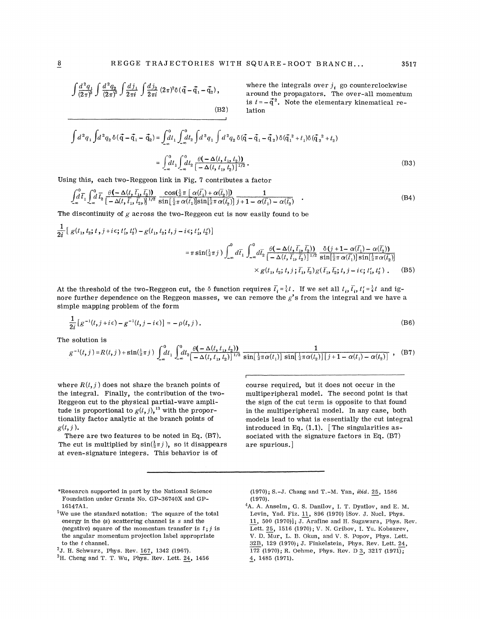(B2)

$$
\left(\frac{d^2q_1}{(2\pi)^2}\int\frac{d^2q_2}{(2\pi)^2}\int\frac{dj_1}{2\pi i}\int\frac{dj_2}{2\pi i}\;(2\pi)^2\delta(\vec q-\vec q_1-\vec q_2)\right),
$$

where the integrals over  $j_i$  go counterclockwise around the propagators. The over-all momentum is  $t = -\vec{q}^2$ . Note the elementary kinematical relation

$$
\int d^2 q_1 \int d^2 q_2 \, \delta(\vec{q} - \vec{q}_1 - \vec{q}_2) = \int_{-\infty}^0 dt_1 \int_{-\infty}^0 dt_2 \int d^2 q_1 \int d^2 q_2 \, \delta(\vec{q} - \vec{q}_1 - \vec{q}_2) \, \delta(\vec{q}_1^2 + t_1) \delta(\vec{q}_2^2 + t_2)
$$
\n
$$
= \int_{-\infty}^0 dt_1 \int_{-\infty}^0 dt_2 \, \frac{\theta(-\Delta(t, t_1, t_2))}{[-\Delta(t, t_1, t_2)]^{1/2}} \,. \tag{B3}
$$

Using this, each two-Reggeon link in Fig. 7 contributes a factor

$$
\int_{-\infty}^{0} \overline{t}_1 \int_{-\infty}^{0} \overline{t}_2 \frac{\theta(-\Delta(t, \overline{t}_1, \overline{t}_2))}{[-\Delta(t, \overline{t}_1, \overline{t}_2,)]^{1/2}} \frac{\cos(\frac{1}{2}\pi [\alpha(\overline{t}_1) + \alpha(\overline{t}_2)])}{\sin[\frac{1}{2}\pi \alpha(\overline{t}_1)] \sin[\frac{1}{2}\pi \alpha(\overline{t}_2)]} \frac{1}{j+1-\alpha(\overline{t}_1) - \alpha(\overline{t}_2)} \quad .
$$
\n(B4)

The discontinuity of  $g$  across the two-Reggeon cut is now easily found to be

$$
\frac{1}{2i} [g(t_1, t_2; t, j + i\epsilon; t'_1, t'_2) - g(t_1, t_2; t, j - i\epsilon; t'_1, t'_2)]
$$
\n
$$
= \pi \sin(\frac{1}{2}\pi j) \int_{-\infty}^0 d\bar{t}_1 \int_{-\infty}^0 d\bar{t}_2 \frac{\theta(-\Delta(t, \bar{t}_1, \bar{t}_2))}{[-\Delta(t, \bar{t}_1, \bar{t}_2)]^{1/2}} \frac{\delta(j + 1 - \alpha(\bar{t}_1) - \alpha(\bar{t}_2))}{\sin[\frac{1}{2}\pi \alpha(\bar{t}_1)] \sin[\frac{1}{2}\pi \alpha(\bar{t}_2)]}
$$
\n
$$
\times g(t_1, t_2; t, j; \bar{t}_1, \bar{t}_2) g(\bar{t}_1, \bar{t}_2; t, j - i\epsilon; t'_1, t'_2).
$$
\n(B5)

At the threshold of the two-Reggeon cut, the  $\delta$  function requires  $\bar{t}_i = \frac{1}{4}t$ . If we set all  $t_i$ ,  $\bar{t}_i$ ,  $t'_i = \frac{1}{4}t$  and ignore further dependence on the Reggeon masses, we can remove the *g's* from the integral and we have a simple mapping problem of the form

$$
\frac{1}{2i}\left[g^{-1}(t,j+i\epsilon)-g^{-1}(t,j-i\epsilon)\right]=-\rho(t,j).
$$
\n(B6)

The solution is

$$
g^{-1}(t, j) = R(t, j) + \sin(\frac{1}{2}\pi j) \int_{-\infty}^{0} dt_1 \int_{-\infty}^{0} dt_2 \frac{\theta(-\Delta(t, t_1, t_2))}{[-\Delta(t, t_1, t_2)]^{1/2}} \frac{1}{\sin[\frac{1}{2}\pi\alpha(t_1)] \sin[\frac{1}{2}\pi\alpha(t_2)][j+1-\alpha(t_1)-\alpha(t_2)]},
$$
(B7)

where  $R(t, j)$  does not share the branch points of the integral. Finally, the contribution of the two-Reggeon cut to the physical partial-wave amplitude is proportional to  $g(t, j)$ , <sup>13</sup> with the proportionality factor analytic at the branch points of  $g(t, j)$ .

There are two features to be noted in Eq. (B7). The cut is multiplied by  $sin(\frac{1}{2}\pi j)$ , so it disappears at even-signature integers. This behavior is of

course required, but it does not occur in the multiperipheral model. The second point is that the sign of the cut term is opposite to that found in the multiperipheral model. In any case, both ·models lead to what is essentially the cut integral introduced in Eq.  $(1.1)$ . The singularities associated with the signature factors in Eq. (B7) are spurious.)

- \*Research supported in part by the National Science Foundation under Grants No. GP-36740X and GP-16147Al.
- <sup>1</sup>We use the standard notation: The square of the total energy in the (s) scattering channel is *s* and the (negative) square of the momentum transfer is  $t, j$  is the angular momentum projection label appropriate to the *t* channel.<br><sup>2</sup>J. H. Schwarz, Phys. Rev. 167, 1342 (1967).

(1970); S.-J. Chang and T.-M. Yan, *ibid.* 25, 1586  $(1970).$ 

<sup>4</sup>A. A. Anselm, G. S. Danilov, I. T. Dyatlov, and E. M. Levin, Yad. Fiz. 11, 896 (1970) [Sov. J. Nucl. Phys. 11, 500 (1970)]; J. Arafine and H. Sugawara, Phys. Rev. Lett. 25, 1516 (1970); V. N. Gribov, I. Yu. Kobsarev, V. D. Mur, L. B. Okun, and V. S. Popov, Phys. Lett. 32B, 129 (1970); J. Finkelstein, Phys. Rev. Lett. 24, 172 (1970); R. Oehme, Phys. Rev. D 3, 3217 (1971);  $\underline{4}$ , 1485 (1971).

<sup>&</sup>lt;sup>3</sup>H. Cheng and T. T. Wu, Phys. Rev. Lett.  $24$ , 1456